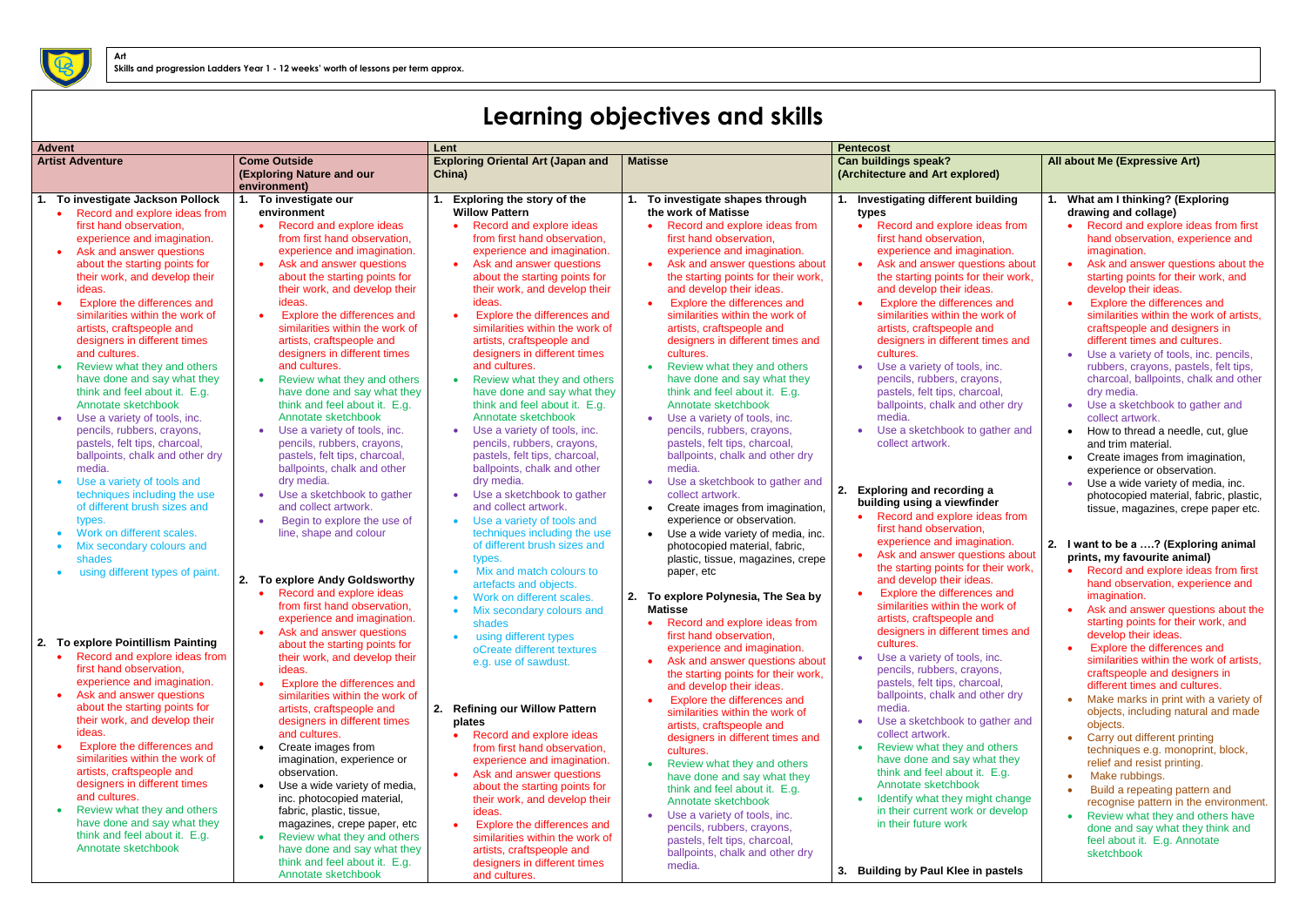# **Learning objectives and skills**

| <b>Advent</b>                                                                                   | Lent                                                     |                                     | <b>Pentecost</b>                                            |                                                  |  |  |
|-------------------------------------------------------------------------------------------------|----------------------------------------------------------|-------------------------------------|-------------------------------------------------------------|--------------------------------------------------|--|--|
| <b>Artist Adventure</b><br><b>Come Outside</b>                                                  | <b>Exploring Oriental Art (Japan and</b>                 | <b>Matisse</b>                      | <b>Can buildings speak?</b>                                 | All about Me (Expressive Art)                    |  |  |
| (Exploring Nature and our                                                                       | China)                                                   |                                     | (Architecture and Art explored)                             |                                                  |  |  |
| environment)                                                                                    |                                                          |                                     |                                                             |                                                  |  |  |
| 1. To investigate Jackson Pollock<br>To investigate our                                         | <b>Exploring the story of the</b>                        | To investigate shapes through       | <b>Investigating different building</b>                     | What am I thinking? (Exploring                   |  |  |
| environment<br>Record and explore ideas from                                                    | <b>Willow Pattern</b>                                    | the work of Matisse                 | types                                                       | drawing and collage)                             |  |  |
| first hand observation,<br>Record and explore ideas                                             | Record and explore ideas                                 | Record and explore ideas from       | Record and explore ideas from                               | Record and explore ideas from first              |  |  |
| from first hand observation,<br>experience and imagination.                                     | from first hand observation,                             | first hand observation.             | first hand observation,                                     | hand observation, experience and                 |  |  |
| Ask and answer questions<br>experience and imagination.                                         | experience and imagination.                              | experience and imagination.         | experience and imagination.                                 | imagination.                                     |  |  |
| Ask and answer questions<br>about the starting points for                                       | Ask and answer questions                                 | Ask and answer questions about      | Ask and answer questions about                              | Ask and answer questions about the               |  |  |
| their work, and develop their<br>about the starting points for                                  | about the starting points for                            | the starting points for their work, | the starting points for their work,                         | starting points for their work, and              |  |  |
| their work, and develop their<br>ideas.                                                         | their work, and develop their                            | and develop their ideas.            | and develop their ideas.                                    | develop their ideas.                             |  |  |
| Explore the differences and<br>ideas.                                                           | ideas.                                                   | Explore the differences and         | Explore the differences and                                 | <b>Explore the differences and</b><br>$\bullet$  |  |  |
| similarities within the work of<br>Explore the differences and                                  | Explore the differences and                              | similarities within the work of     | similarities within the work of                             | similarities within the work of artists,         |  |  |
| similarities within the work of<br>artists, craftspeople and                                    | similarities within the work of                          | artists, craftspeople and           | artists, craftspeople and                                   | craftspeople and designers in                    |  |  |
| designers in different times<br>artists, craftspeople and                                       | artists, craftspeople and                                | designers in different times and    | designers in different times and                            | different times and cultures.                    |  |  |
| and cultures.<br>designers in different times                                                   | designers in different times                             | cultures.                           | cultures.                                                   | Use a variety of tools, inc. pencils,            |  |  |
| and cultures.<br>Review what they and others                                                    | and cultures.                                            | Review what they and others         | Use a variety of tools, inc.                                | rubbers, crayons, pastels, felt tips,            |  |  |
| Review what they and others<br>have done and say what they<br>$\bullet$                         | Review what they and others                              | have done and say what they         | pencils, rubbers, crayons,                                  | charcoal, ballpoints, chalk and other            |  |  |
| think and feel about it. E.g.<br>have done and say what they                                    | have done and say what they                              | think and feel about it. E.g.       | pastels, felt tips, charcoal,                               | dry media.                                       |  |  |
| Annotate sketchbook<br>think and feel about it. E.g.                                            | think and feel about it. E.g.                            | Annotate sketchbook                 | ballpoints, chalk and other dry                             | Use a sketchbook to gather and<br>$\bullet$      |  |  |
| Annotate sketchbook<br>Use a variety of tools, inc.                                             | Annotate sketchbook                                      | • Use a variety of tools, inc.      | media.                                                      | collect artwork.                                 |  |  |
| pencils, rubbers, crayons,<br>Use a variety of tools, inc.<br>$\bullet$                         | Use a variety of tools, inc.<br>$\bullet$                | pencils, rubbers, crayons,          | Use a sketchbook to gather and                              | How to thread a needle, cut, glue<br>$\bullet$   |  |  |
| pastels, felt tips, charcoal,<br>pencils, rubbers, crayons,                                     | pencils, rubbers, crayons,                               | pastels, felt tips, charcoal,       | collect artwork.                                            | and trim material.                               |  |  |
| ballpoints, chalk and other dry<br>pastels, felt tips, charcoal,                                | pastels, felt tips, charcoal,                            | ballpoints, chalk and other dry     |                                                             | Create images from imagination,<br>$\bullet$     |  |  |
| media.<br>ballpoints, chalk and other                                                           | ballpoints, chalk and other                              | media.                              |                                                             | experience or observation.                       |  |  |
| Use a variety of tools and<br>dry media.                                                        | dry media.                                               | Use a sketchbook to gather and      |                                                             | Use a wide variety of media, inc.                |  |  |
| techniques including the use<br>Use a sketchbook to gather<br>$\bullet$                         | Use a sketchbook to gather<br>$\bullet$                  | collect artwork.                    | <b>Exploring and recording a</b><br>2.                      | photocopied material, fabric, plastic,           |  |  |
| of different brush sizes and<br>and collect artwork.                                            | and collect artwork.                                     | Create images from imagination,     | building using a viewfinder                                 | tissue, magazines, crepe paper etc.              |  |  |
| Begin to explore the use of<br>types.<br>$\bullet$                                              | Use a variety of tools and                               | experience or observation.          | Record and explore ideas from                               |                                                  |  |  |
| Work on different scales.<br>line, shape and colour                                             | techniques including the use                             | Use a wide variety of media, inc.   | first hand observation,                                     |                                                  |  |  |
| Mix secondary colours and                                                                       | of different brush sizes and                             | photocopied material, fabric,       | experience and imagination.                                 | 2. I want to be a ? (Exploring animal            |  |  |
| shades                                                                                          | types.                                                   | plastic, tissue, magazines, crepe   | Ask and answer questions about                              | prints, my favourite animal)                     |  |  |
| using different types of paint.                                                                 | Mix and match colours to                                 | paper, etc                          | the starting points for their work,                         | Record and explore ideas from first<br>$\bullet$ |  |  |
| To explore Andy Goldsworthy<br>2.                                                               | artefacts and objects.                                   |                                     | and develop their ideas.                                    | hand observation, experience and                 |  |  |
| Record and explore ideas                                                                        | Work on different scales.                                | To explore Polynesia, The Sea by    | Explore the differences and                                 | imagination.                                     |  |  |
| from first hand observation,                                                                    | Mix secondary colours and                                | <b>Matisse</b>                      | similarities within the work of                             | Ask and answer questions about the               |  |  |
| experience and imagination.                                                                     | shades                                                   | Record and explore ideas from       | artists, craftspeople and                                   | starting points for their work, and              |  |  |
| Ask and answer questions<br>2. To explore Pointillism Painting                                  | using different types                                    | first hand observation,             | designers in different times and                            | develop their ideas.                             |  |  |
| about the starting points for<br>Record and explore ideas from<br>their work, and develop their | oCreate different textures                               | experience and imagination.         | cultures.                                                   | Explore the differences and                      |  |  |
| first hand observation,                                                                         | e.g. use of sawdust.                                     | Ask and answer questions about      | Use a variety of tools, inc.                                | similarities within the work of artists,         |  |  |
| ideas.<br>experience and imagination.<br>Explore the differences and                            |                                                          | the starting points for their work, | pencils, rubbers, crayons,<br>pastels, felt tips, charcoal, | craftspeople and designers in                    |  |  |
| Ask and answer questions<br>similarities within the work of                                     |                                                          | and develop their ideas.            | ballpoints, chalk and other dry                             | different times and cultures.                    |  |  |
| about the starting points for<br>artists, craftspeople and                                      |                                                          | Explore the differences and         | media.                                                      | • Make marks in print with a variety of          |  |  |
| their work, and develop their<br>designers in different times                                   | 2. Refining our Willow Pattern<br>plates                 | similarities within the work of     | Use a sketchbook to gather and                              | objects, including natural and made              |  |  |
| and cultures.<br>ideas.                                                                         |                                                          | artists, craftspeople and           | collect artwork.                                            | objects.                                         |  |  |
| Explore the differences and<br>Create images from                                               | Record and explore ideas<br>from first hand observation, | designers in different times and    | Review what they and others                                 | Carry out different printing<br>$\bullet$        |  |  |
| similarities within the work of<br>imagination, experience or                                   | experience and imagination.                              | cultures.                           | have done and say what they                                 | techniques e.g. monoprint, block,                |  |  |
| artists, craftspeople and<br>observation.                                                       | Ask and answer questions<br>$\bullet$                    | Review what they and others         | think and feel about it. E.g.                               | relief and resist printing.                      |  |  |
| designers in different times<br>Use a wide variety of media,                                    | about the starting points for                            | have done and say what they         | Annotate sketchbook                                         | Make rubbings.<br>$\bullet$                      |  |  |
| and cultures.<br>inc. photocopied material,                                                     | their work, and develop their                            | think and feel about it. E.g.       | Identify what they might change                             | Build a repeating pattern and<br>$\bullet$       |  |  |
| Review what they and others<br>fabric, plastic, tissue,                                         | ideas.                                                   | Annotate sketchbook                 | in their current work or develop                            | recognise pattern in the environment.            |  |  |
| have done and say what they<br>magazines, crepe paper, etc                                      | Explore the differences and                              | Use a variety of tools, inc.        | in their future work                                        | Review what they and others have<br>$\bullet$    |  |  |
| think and feel about it. E.g.<br>Review what they and others                                    | similarities within the work of                          | pencils, rubbers, crayons,          |                                                             | done and say what they think and                 |  |  |
| Annotate sketchbook<br>have done and say what they                                              | artists, craftspeople and                                | pastels, felt tips, charcoal,       |                                                             | feel about it. E.g. Annotate                     |  |  |
| think and feel about it. E.g.                                                                   | designers in different times                             | ballpoints, chalk and other dry     |                                                             | sketchbook                                       |  |  |
| Annotate sketchbook                                                                             | and cultures.                                            | media.                              | <b>Building by Paul Klee in pastels</b><br>3.               |                                                  |  |  |



**Art**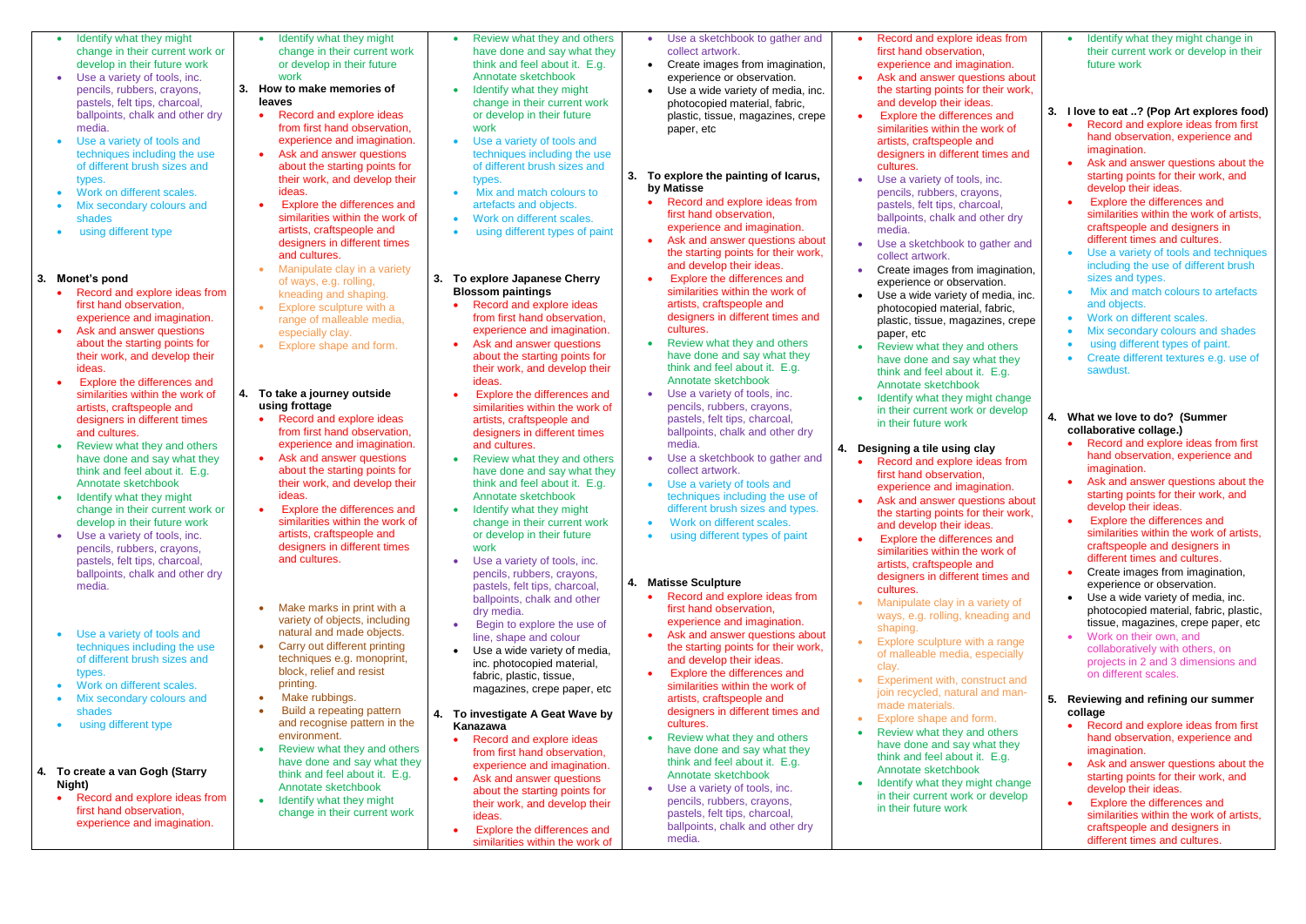- Identify what they might change in their current work or develop in their future work
- Use a variety of tools, inc. pencils, rubbers, crayons, pastels, felt tips, charcoal, ballpoints, chalk and other dry media.
- Use a variety of tools and techniques including the use of different brush sizes and types.
- Work on different scales.
- Mix secondary colours and shades
- using different type

## **3. Monet's pond**

- Record and explore ideas from first hand observation, experience and imagination.
- Ask and answer questions about the starting points for their work, and develop their ideas.
- Explore the differences and similarities within the work of artists, craftspeople and designers in different times and cultures.
- Review what they and others have done and say what they think and feel about it. E.g. Annotate sketchbook
- Identify what they might change in their current work or develop in their future work
- Use a variety of tools, inc. pencils, rubbers, crayons, pastels, felt tips, charcoal, ballpoints, chalk and other dry media.
- Use a variety of tools and techniques including the use of different brush sizes and types.
- Work on different scales.
- Mix secondary colours and shades
- using different type
- **4. To create a van Gogh (Starry Night)**
	- Record and explore ideas from first hand observation, experience and imagination.
- Review what they and others have done and say what they think and feel about it. E.g. Annotate sketchbook
- Identify what they might change in their current work or develop in their future work
- Use a variety of tools and techniques including the use of different brush sizes and types.
- Mix and match colours to artefacts and objects.
- Work on different scales.
- using different types of paint

• Identify what they might change in their current work or develop in their future work

## **3. How to make memories of leaves**

- Record and explore ideas from first hand observation, experience and imagination.
- Ask and answer questions about the starting points for their work, and develop their ideas.
- Explore the differences and similarities within the work of artists, craftspeople and designers in different times and cultures.
- **Manipulate clay in a variety** of ways, e.g. rolling, kneading and shaping.
- Explore sculpture with a range of malleable media, especially clay.
- Explore shape and form.

### **4. To take a journey outside using frottage**

- Use a sketchbook to gather and collect artwork.
- Create images from imagination, experience or observation.
- Use a wide variety of media, inc. photocopied material, fabric, plastic, tissue, magazines, crepe paper, etc

- Record and explore ideas from first hand observation, experience and imagination.
- Ask and answer questions about the starting points for their work, and develop their ideas.
- Explore the differences and similarities within the work of artists, craftspeople and designers in different times and cultures.
- Make marks in print with a variety of objects, including natural and made objects.
- Carry out different printing techniques e.g. monoprint, block, relief and resist printing.
- Make rubbings.
	- Build a repeating pattern and recognise pattern in the environment.
- Review what they and others have done and say what they think and feel about it. E.g. Annotate sketchbook
- Identify what they might change in their current work

#### **3. To explore Japanese Cherry Blossom paintings**

- Record and explore ideas from first hand observation, experience and imagination.
- Ask and answer questions about the starting points for their work, and develop their ideas.
- Explore the differences and similarities within the work of artists, craftspeople and designers in different times and cultures.
- Review what they and others have done and say what they think and feel about it. E.g. Annotate sketchbook
- Identify what they might change in their current work or develop in their future work
- Use a variety of tools, inc. pencils, rubbers, crayons, pastels, felt tips, charcoal, ballpoints, chalk and other dry media.
- Begin to explore the use of line, shape and colour
- Use a wide variety of media, inc. photocopied material, fabric, plastic, tissue, magazines, crepe paper, etc
- Record and explore io first hand observation experience and imagi
- Ask and answer ques the starting points for and develop their idea
- Explore the differenc similarities within the artists, craftspeople a designers in different cultures.
- Manipulate clay in a  $\sqrt{ }$ ways, e.g. rolling, kne shaping.
- Explore sculpture with of malleable media, e clay.
- Experiment with, construction join recycled, natural made materials.
- $\bullet$  Explore shape and form.
- $\bullet$  Review what they and have done and say w think and feel about it. Annotate sketchbook
- $\bullet$  Identify what they midentify what they midentify change change of  $\bullet$ in their current work or in their future work

#### **4. To investigate A Geat Wave by Kanazawa**

- Record and explore ideas from first hand observation, experience and imagination.
- Ask and answer questions about the starting points for their work, and develop their ideas.
- Explore the differences and similarities within the work of

#### **3. To explore the painting of Icarus, by Matisse**

- Record and explore ideas from first hand observation, experience and imagination.
- Ask and answer questions about the starting points for their work, and develop their ideas.
- Explore the differences and similarities within the work of artists, craftspeople and designers in different times and cultures.
- Review what they and others have done and say what they think and feel about it. E.g. Annotate sketchbook
- Use a variety of tools, inc. pencils, rubbers, crayons, pastels, felt tips, charcoal, ballpoints, chalk and other dry media.
- Use a sketchbook to gather and collect artwork.
- Use a variety of tools and techniques including the use of different brush sizes and types.
- Work on different scales.
- using different types of paint

## **4. Matisse Sculpture**

- Record and explore ideas from first hand observation, experience and imagination.
- Ask and answer questions about the starting points for their work, and develop their ideas.
- Explore the differences and similarities within the work of artists, craftspeople and designers in different times and cultures.
- Review what they and others have done and say what they think and feel about it. E.g. Annotate sketchbook
- Use a variety of tools, inc. pencils, rubbers, crayons, pastels, felt tips, charcoal, ballpoints, chalk and other dry media.
- Record and explore ideas from first hand observation, experience and imagi
- Ask and answer quest the starting points for and develop their idea
- $\bullet$  Explore the differences similarities within the artists, craftspeople a designers in different cultures.
- Use a variety of tools pencils, rubbers, cray pastels, felt tips, char ballpoints, chalk and media.
- $\bullet$  Use a sketchbook to collect artwork.
- Create images from in experience or observa
- Use a wide variety of photocopied material. plastic, tissue, magazi paper, etc
- $\bullet$  Review what they and have done and say w think and feel about it. Annotate sketchbook
- $\bullet$  Identify what they might in their current work or in their future work

# **4.** Designing a tile using cl

• Identify what they might change in their current work or develop in their

| ination.     |    | future work                              |
|--------------|----|------------------------------------------|
| stions about |    |                                          |
| their work,  |    |                                          |
| as.          |    |                                          |
| es and:      | 3. | I love to eat ? (Pop Art explores food)  |
| work of      |    | Record and explore ideas from first      |
| ınd          |    | hand observation, experience and         |
| times and    |    | imagination.                             |
|              |    | Ask and answer questions about the       |
|              |    | starting points for their work, and      |
| , inc.       |    | develop their ideas.                     |
| ons,         |    | Explore the differences and              |
| coal,        |    | similarities within the work of artists, |
| other dry    |    |                                          |
|              |    | craftspeople and designers in            |
| gather and   |    | different times and cultures.            |
|              |    | Use a variety of tools and techniques    |
| magination,  |    | including the use of different brush     |
| ation.       |    | sizes and types.                         |
| media, inc.  |    | Mix and match colours to artefacts       |
| , fabric,    |    | and objects.                             |
| zines, crepe |    | Work on different scales.                |
|              |    | Mix secondary colours and shades         |
| d others     |    | using different types of paint.          |
| hat they     |    | Create different textures e.g. use of    |
| t. $E.g.$    |    | sawdust.                                 |
|              |    |                                          |
|              |    |                                          |
| ght change   |    |                                          |
| or develop   | 4. | What we love to do? (Summer              |
|              |    | collaborative collage.)                  |
|              |    | Record and explore ideas from first      |
| lay          |    | hand observation, experience and         |
| deas from    |    | imagination.                             |
| ì,           |    | Ask and answer questions about the       |
| ination.     |    | starting points for their work, and      |
| stions about |    | develop their ideas.                     |
| their work,  |    | Explore the differences and              |
| as.          |    | similarities within the work of artists, |
| es and:      |    |                                          |
| work of      |    | craftspeople and designers in            |
| เทd          |    | different times and cultures.            |
| times and    |    | Create images from imagination,          |
|              |    | experience or observation.               |
| variety of   |    | Use a wide variety of media, inc.        |
| eading and   |    | photocopied material, fabric, plastic,   |
|              |    | tissue, magazines, crepe paper, etc      |
| h a range    |    | Work on their own, and                   |
| specially    |    | collaboratively with others, on          |
|              |    | projects in 2 and 3 dimensions and       |
|              |    | on different scales.                     |
| struct and   |    |                                          |
| and man-     | 5. | Reviewing and refining our summer        |
|              |    | collage                                  |
| rm.          |    | Record and explore ideas from first      |
| d others     |    | hand observation, experience and         |
| hat they     |    | imagination.                             |
| t. E.g.      |    | Ask and answer questions about the       |
|              |    | starting points for their work, and      |
| ght change   |    | develop their ideas.                     |
| or develop   |    |                                          |
|              |    | Explore the differences and              |
|              |    | similarities within the work of artists, |
|              |    | craftspeople and designers in            |
|              |    | different times and cultures.            |
|              |    |                                          |
|              |    |                                          |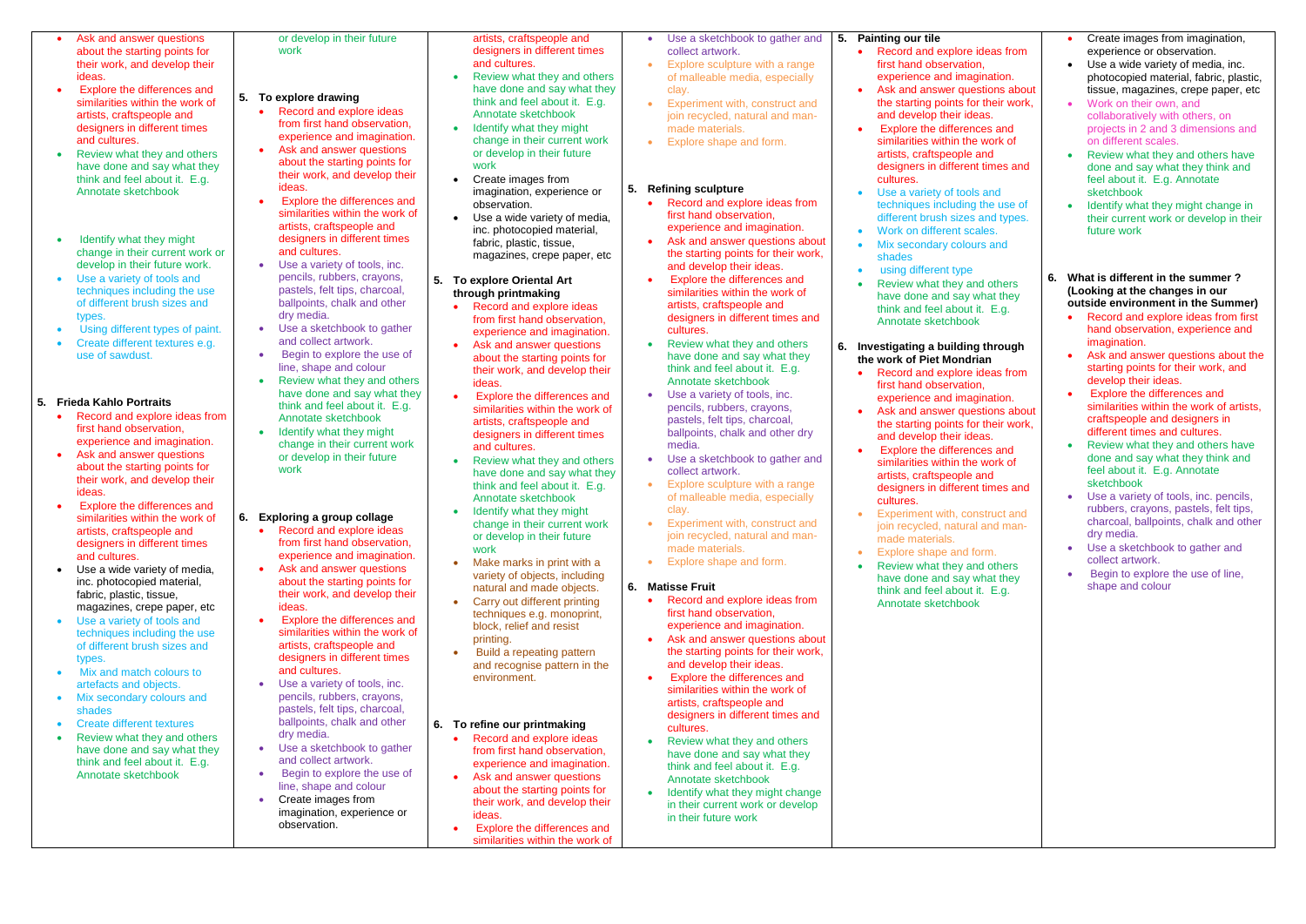|    | Ask and answer questions                      |    | or develop in their future                |    | artists, craftspeople and                                      |    |           | Use a sketchbook to gather and      |    | 5. Painting our tile                        |
|----|-----------------------------------------------|----|-------------------------------------------|----|----------------------------------------------------------------|----|-----------|-------------------------------------|----|---------------------------------------------|
|    | about the starting points for                 |    | work                                      |    | designers in different times                                   |    |           | collect artwork.                    |    | Record and explore ide                      |
|    | their work, and develop their                 |    |                                           |    | and cultures.                                                  |    |           | Explore sculpture with a range      |    | first hand observation,                     |
|    | ideas.                                        |    |                                           |    | Review what they and others                                    |    |           | of malleable media, especially      |    | experience and imagina                      |
|    | Explore the differences and                   |    |                                           |    | have done and say what they                                    |    |           | clay.                               |    | Ask and answer questie                      |
|    | similarities within the work of               |    | 5. To explore drawing                     |    | think and feel about it. E.g.                                  |    |           | Experiment with, construct and      |    | the starting points for th                  |
|    | artists, craftspeople and                     |    | Record and explore ideas                  |    | Annotate sketchbook                                            |    |           | join recycled, natural and man-     |    | and develop their ideas                     |
|    | designers in different times                  |    | from first hand observation,              |    | Identify what they might                                       |    |           | made materials.                     |    | <b>Explore the differences</b><br>$\bullet$ |
|    | and cultures.                                 |    | experience and imagination.               |    | change in their current work                                   |    |           | Explore shape and form.             |    | similarities within the w                   |
|    | Review what they and others<br>$\bullet$      |    | Ask and answer questions                  |    | or develop in their future                                     |    |           |                                     |    | artists, craftspeople and                   |
|    | have done and say what they                   |    | about the starting points for             |    | work                                                           |    |           |                                     |    | designers in different tir                  |
|    | think and feel about it. E.g.                 |    | their work, and develop their             |    | Create images from                                             |    |           |                                     |    | cultures.                                   |
|    | Annotate sketchbook                           |    | ideas.                                    |    | imagination, experience or                                     | 5. |           | <b>Refining sculpture</b>           |    | Use a variety of tools a                    |
|    |                                               |    | Explore the differences and               |    | observation.                                                   |    |           | Record and explore ideas from       |    | techniques including th                     |
|    |                                               |    | similarities within the work of           |    | Use a wide variety of media,                                   |    |           | first hand observation,             |    | different brush sizes ar                    |
|    |                                               |    | artists, craftspeople and                 |    | inc. photocopied material,                                     |    |           | experience and imagination.         |    | Work on different scale                     |
|    | Identify what they might<br>$\bullet$         |    | designers in different times              |    | fabric, plastic, tissue,                                       |    |           | Ask and answer questions about      |    | Mix secondary colours                       |
|    | change in their current work or               |    | and cultures.                             |    | magazines, crepe paper, etc                                    |    |           | the starting points for their work, |    | shades                                      |
|    | develop in their future work.                 |    | Use a variety of tools, inc.<br>$\bullet$ |    |                                                                |    |           | and develop their ideas.            |    | using different type                        |
|    | Use a variety of tools and<br>$\bullet$       |    | pencils, rubbers, crayons,                | 5. | To explore Oriental Art                                        |    |           | Explore the differences and         |    |                                             |
|    | techniques including the use                  |    | pastels, felt tips, charcoal,             |    | through printmaking                                            |    |           | similarities within the work of     |    | Review what they and                        |
|    | of different brush sizes and                  |    | ballpoints, chalk and other               |    | Record and explore ideas                                       |    |           | artists, craftspeople and           |    | have done and say wha                       |
|    | types.                                        |    | dry media.                                |    | from first hand observation,                                   |    |           | designers in different times and    |    | think and feel about it.                    |
|    | Using different types of paint.<br>$\bullet$  |    | Use a sketchbook to gather<br>$\bullet$   |    | experience and imagination.                                    |    |           | cultures.                           |    | Annotate sketchbook                         |
|    | Create different textures e.g.                |    | and collect artwork.                      |    | Ask and answer questions                                       |    |           | Review what they and others         |    |                                             |
|    | use of sawdust.                               |    | Begin to explore the use of<br>$\bullet$  |    |                                                                |    |           | have done and say what they         | 6. | Investigating a building tl                 |
|    |                                               |    | line, shape and colour                    |    | about the starting points for<br>their work, and develop their |    |           | think and feel about it. E.g.       |    | the work of Piet Mondriar                   |
|    |                                               |    | Review what they and others               |    | ideas.                                                         |    |           | Annotate sketchbook                 |    | Record and explore ide                      |
|    |                                               |    | have done and say what they               |    |                                                                |    |           | Use a variety of tools, inc.        |    | first hand observation,                     |
| 5. | <b>Frieda Kahlo Portraits</b>                 |    | think and feel about it. E.g.             |    | Explore the differences and                                    |    |           | pencils, rubbers, crayons,          |    | experience and imagina                      |
|    | Record and explore ideas from                 |    | Annotate sketchbook                       |    | similarities within the work of                                |    |           | pastels, felt tips, charcoal,       |    | Ask and answer question                     |
|    | first hand observation,                       |    | Identify what they might                  |    | artists, craftspeople and                                      |    |           | ballpoints, chalk and other dry     |    | the starting points for th                  |
|    | experience and imagination.                   |    | change in their current work              |    | designers in different times                                   |    |           | media.                              |    | and develop their ideas                     |
|    | Ask and answer questions                      |    | or develop in their future                |    | and cultures.                                                  |    |           | Use a sketchbook to gather and      |    | <b>Explore the difference:</b>              |
|    | about the starting points for                 |    | work                                      |    | Review what they and others                                    |    |           | collect artwork.                    |    | similarities within the w                   |
|    | their work, and develop their                 |    |                                           |    | have done and say what they                                    |    |           |                                     |    | artists, craftspeople and                   |
|    | ideas.                                        |    |                                           |    | think and feel about it. E.g.                                  |    |           | Explore sculpture with a range      |    | designers in different tir                  |
|    | Explore the differences and                   |    |                                           |    | Annotate sketchbook                                            |    |           | of malleable media, especially      |    | cultures.                                   |
|    | similarities within the work of               | 6. | <b>Exploring a group collage</b>          |    | Identify what they might                                       |    |           | clay.                               |    | <b>Experiment with, constil</b>             |
|    | artists, craftspeople and                     |    | Record and explore ideas                  |    | change in their current work                                   |    |           | Experiment with, construct and      |    | join recycled, natural ar                   |
|    | designers in different times                  |    | from first hand observation,              |    | or develop in their future                                     |    |           | join recycled, natural and man-     |    | made materials.                             |
|    | and cultures.                                 |    | experience and imagination.               |    | work                                                           |    |           | made materials.                     |    | Explore shape and forn<br>$\bullet$         |
|    | Use a wide variety of media,<br>$\bullet$     |    | Ask and answer questions<br>$\bullet$     |    | Make marks in print with a                                     |    |           | Explore shape and form.             |    | Review what they and<br>$\bullet$           |
|    | inc. photocopied material,                    |    | about the starting points for             |    | variety of objects, including                                  |    |           |                                     |    | have done and say wha                       |
|    | fabric, plastic, tissue,                      |    | their work, and develop their             |    | natural and made objects.                                      |    |           | 6. Matisse Fruit                    |    | think and feel about it.                    |
|    | magazines, crepe paper, etc                   |    | ideas.                                    |    | Carry out different printing                                   |    |           | Record and explore ideas from       |    | Annotate sketchbook                         |
|    | Use a variety of tools and<br>$\bullet$       |    | Explore the differences and               |    | techniques e.g. monoprint,                                     |    |           | first hand observation,             |    |                                             |
|    | techniques including the use                  |    | similarities within the work of           |    | block, relief and resist                                       |    |           | experience and imagination.         |    |                                             |
|    | of different brush sizes and                  |    | artists, craftspeople and                 |    | printing.                                                      |    |           | Ask and answer questions about      |    |                                             |
|    | types.                                        |    | designers in different times              |    | Build a repeating pattern                                      |    |           | the starting points for their work, |    |                                             |
|    | Mix and match colours to<br>$\bullet$         |    | and cultures.                             |    | and recognise pattern in the                                   |    |           | and develop their ideas.            |    |                                             |
|    | artefacts and objects.                        |    | Use a variety of tools, inc.<br>$\bullet$ |    | environment.                                                   |    |           | Explore the differences and         |    |                                             |
|    |                                               |    | pencils, rubbers, crayons,                |    |                                                                |    |           | similarities within the work of     |    |                                             |
|    | Mix secondary colours and<br>$\bullet$        |    | pastels, felt tips, charcoal,             |    |                                                                |    |           | artists, craftspeople and           |    |                                             |
|    | shades                                        |    | ballpoints, chalk and other               |    |                                                                |    |           | designers in different times and    |    |                                             |
|    | <b>Create different textures</b><br>$\bullet$ |    | dry media.                                | 6. | To refine our printmaking                                      |    |           | cultures.                           |    |                                             |
|    | Review what they and others<br>$\bullet$      |    | Use a sketchbook to gather<br>$\bullet$   |    | Record and explore ideas                                       |    |           | Review what they and others         |    |                                             |
|    | have done and say what they                   |    | and collect artwork.                      |    | from first hand observation,                                   |    |           | have done and say what they         |    |                                             |
|    | think and feel about it. E.g.                 |    |                                           |    | experience and imagination.                                    |    |           | think and feel about it. E.g.       |    |                                             |
|    | Annotate sketchbook                           |    | Begin to explore the use of               |    | Ask and answer questions                                       |    |           | Annotate sketchbook                 |    |                                             |
|    |                                               |    | line, shape and colour                    |    | about the starting points for                                  |    | $\bullet$ | Identify what they might change     |    |                                             |

• Create images from

imagination, experience or

observation.

| ore ideas from<br>ation,<br>imagination.<br>questions about<br>ts for their work,<br>ir ideas.<br>erences and<br>n the work of<br>ple and<br>erent times and<br>tools and<br>ding the use of<br>izes and types.<br>t scales.<br>olours and                                                                                                                  |    | Create images from imagination,<br>experience or observation.<br>Use a wide variety of media, inc.<br>photocopied material, fabric, plastic,<br>tissue, magazines, crepe paper, etc<br>Work on their own, and<br>collaboratively with others, on<br>projects in 2 and 3 dimensions and<br>on different scales.<br>Review what they and others have<br>done and say what they think and<br>feel about it. E.g. Annotate<br>sketchbook<br>Identify what they might change in<br>their current work or develop in their<br>future work                                                                                                                                                                                                                                                                                                 |
|-------------------------------------------------------------------------------------------------------------------------------------------------------------------------------------------------------------------------------------------------------------------------------------------------------------------------------------------------------------|----|-------------------------------------------------------------------------------------------------------------------------------------------------------------------------------------------------------------------------------------------------------------------------------------------------------------------------------------------------------------------------------------------------------------------------------------------------------------------------------------------------------------------------------------------------------------------------------------------------------------------------------------------------------------------------------------------------------------------------------------------------------------------------------------------------------------------------------------|
| ype<br>y and others<br>ay what they<br>out it. E.g.<br>book<br>ding through<br>ndrian<br>ore ideas from<br>ation,<br>magination.<br>questions about<br>ts for their work,<br>ir ideas.<br>erences and<br>่ the work of<br>ple and<br>erent times and<br>construct and<br>tural and man-<br>nd form.<br>y and others<br>ay what they<br>out it. E.g.<br>book | 6. | What is different in the summer?<br>(Looking at the changes in our<br>outside environment in the Summer)<br>Record and explore ideas from first<br>hand observation, experience and<br>imagination.<br>Ask and answer questions about the<br>starting points for their work, and<br>develop their ideas.<br>Explore the differences and<br>similarities within the work of artists,<br>craftspeople and designers in<br>different times and cultures.<br>Review what they and others have<br>done and say what they think and<br>feel about it. E.g. Annotate<br>sketchbook<br>Use a variety of tools, inc. pencils,<br>rubbers, crayons, pastels, felt tips,<br>charcoal, ballpoints, chalk and other<br>dry media.<br>Use a sketchbook to gather and<br>collect artwork.<br>Begin to explore the use of line,<br>shape and colour |

their work, and develop their

ideas.

• Explore the differences and similarities within the work of in their current work or develop

in their future work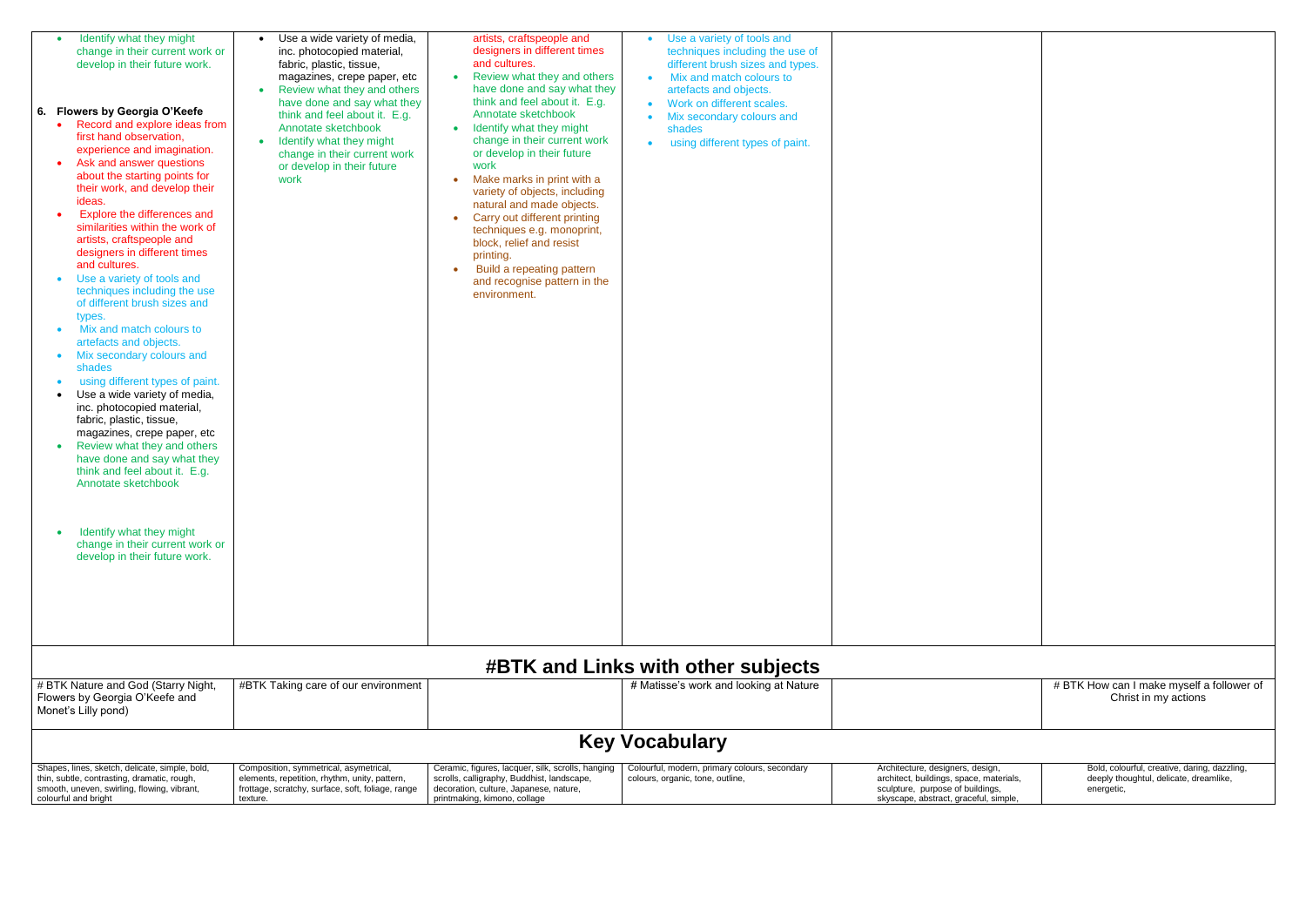| Identify what they might<br>change in their current work or<br>develop in their future work.<br>6. Flowers by Georgia O'Keefe<br>Record and explore ideas from<br>first hand observation,<br>experience and imagination.<br>Ask and answer questions<br>about the starting points for<br>their work, and develop their<br>ideas.<br>Explore the differences and<br>similarities within the work of<br>artists, craftspeople and<br>designers in different times<br>and cultures.<br>Use a variety of tools and<br>techniques including the use<br>of different brush sizes and<br>types.<br>Mix and match colours to<br>artefacts and objects.<br>Mix secondary colours and<br>shades<br>using different types of paint.<br>Use a wide variety of media,<br>inc. photocopied material,<br>fabric, plastic, tissue,<br>magazines, crepe paper, etc<br>Review what they and others<br>have done and say what they<br>think and feel about it. E.g.<br>Annotate sketchbook<br>Identify what they might<br>change in their current work or<br>develop in their future work. | Use a wide variety of media,<br>inc. photocopied material,<br>fabric, plastic, tissue,<br>magazines, crepe paper, etc<br>Review what they and others<br>have done and say what they<br>think and feel about it. E.g.<br>Annotate sketchbook<br>Identify what they might<br>$\bullet$<br>change in their current work<br>or develop in their future<br>work | artists, craftspeople and<br>designers in different times<br>and cultures.<br>Review what they and others<br>have done and say what they<br>think and feel about it. E.g.<br>Annotate sketchbook<br>Identify what they might<br>change in their current work<br>or develop in their future<br>work<br>Make marks in print with a<br>$\bullet$<br>variety of objects, including<br>natural and made objects.<br>Carry out different printing<br>techniques e.g. monoprint,<br>block, relief and resist<br>printing.<br>Build a repeating pattern<br>and recognise pattern in the<br>environment. | Use a variety of tools and<br>techniques including the use of<br>different brush sizes and types.<br>Mix and match colours to<br>$\bullet$<br>artefacts and objects.<br>Work on different scales.<br>$\bullet$<br>Mix secondary colours and<br>shades<br>using different types of paint.<br>$\bullet$ |                                                                                                                                                          |                                                                                                      |
|-------------------------------------------------------------------------------------------------------------------------------------------------------------------------------------------------------------------------------------------------------------------------------------------------------------------------------------------------------------------------------------------------------------------------------------------------------------------------------------------------------------------------------------------------------------------------------------------------------------------------------------------------------------------------------------------------------------------------------------------------------------------------------------------------------------------------------------------------------------------------------------------------------------------------------------------------------------------------------------------------------------------------------------------------------------------------|------------------------------------------------------------------------------------------------------------------------------------------------------------------------------------------------------------------------------------------------------------------------------------------------------------------------------------------------------------|-------------------------------------------------------------------------------------------------------------------------------------------------------------------------------------------------------------------------------------------------------------------------------------------------------------------------------------------------------------------------------------------------------------------------------------------------------------------------------------------------------------------------------------------------------------------------------------------------|-------------------------------------------------------------------------------------------------------------------------------------------------------------------------------------------------------------------------------------------------------------------------------------------------------|----------------------------------------------------------------------------------------------------------------------------------------------------------|------------------------------------------------------------------------------------------------------|
|                                                                                                                                                                                                                                                                                                                                                                                                                                                                                                                                                                                                                                                                                                                                                                                                                                                                                                                                                                                                                                                                         |                                                                                                                                                                                                                                                                                                                                                            |                                                                                                                                                                                                                                                                                                                                                                                                                                                                                                                                                                                                 | <b>#BTK and Links with other subjects</b>                                                                                                                                                                                                                                                             |                                                                                                                                                          |                                                                                                      |
| # BTK Nature and God (Starry Night,<br>Flowers by Georgia O'Keefe and<br>Monet's Lilly pond)                                                                                                                                                                                                                                                                                                                                                                                                                                                                                                                                                                                                                                                                                                                                                                                                                                                                                                                                                                            | #BTK Taking care of our environment                                                                                                                                                                                                                                                                                                                        |                                                                                                                                                                                                                                                                                                                                                                                                                                                                                                                                                                                                 | # Matisse's work and looking at Nature                                                                                                                                                                                                                                                                |                                                                                                                                                          | # BTK How can I make myself a follower of<br>Christ in my actions                                    |
|                                                                                                                                                                                                                                                                                                                                                                                                                                                                                                                                                                                                                                                                                                                                                                                                                                                                                                                                                                                                                                                                         |                                                                                                                                                                                                                                                                                                                                                            |                                                                                                                                                                                                                                                                                                                                                                                                                                                                                                                                                                                                 | <b>Key Vocabulary</b>                                                                                                                                                                                                                                                                                 |                                                                                                                                                          |                                                                                                      |
| Shapes, lines, sketch, delicate, simple, bold,<br>thin, subtle, contrasting, dramatic, rough,<br>smooth, uneven, swirling, flowing, vibrant,<br>colourful and bright                                                                                                                                                                                                                                                                                                                                                                                                                                                                                                                                                                                                                                                                                                                                                                                                                                                                                                    | Composition, symmetrical, asymetrical,<br>elements, repetition, rhythm, unity, pattern,<br>frottage, scratchy, surface, soft, foliage, range<br>texture.                                                                                                                                                                                                   | Ceramic, figures, lacquer, silk, scrolls, hanging<br>scrolls, calligraphy, Buddhist, landscape,<br>decoration, culture, Japanese, nature,<br>printmaking, kimono, collage                                                                                                                                                                                                                                                                                                                                                                                                                       | Colourful, modern, primary colours, secondary<br>colours, organic, tone, outline,                                                                                                                                                                                                                     | Architecture, designers, design,<br>architect, buildings, space, materials,<br>sculpture, purpose of buildings,<br>skyscape, abstract, graceful, simple, | Bold, colourful, creative, daring, dazzling,<br>deeply thoughtul, delicate, dreamlike,<br>energetic, |

| # DTK How can<br>I make myself a follower of<br>f |
|---------------------------------------------------|

| # BTK How can I make myself a follower of<br>Christ in my actions |
|-------------------------------------------------------------------|
|                                                                   |

| ıgn,<br>naterials, | Bold, colourful, creative, daring, dazzling,<br>deeply thoughtul, delicate, dreamlike, |
|--------------------|----------------------------------------------------------------------------------------|
| ומc.<br>, simple,  | energetic,                                                                             |
|                    |                                                                                        |